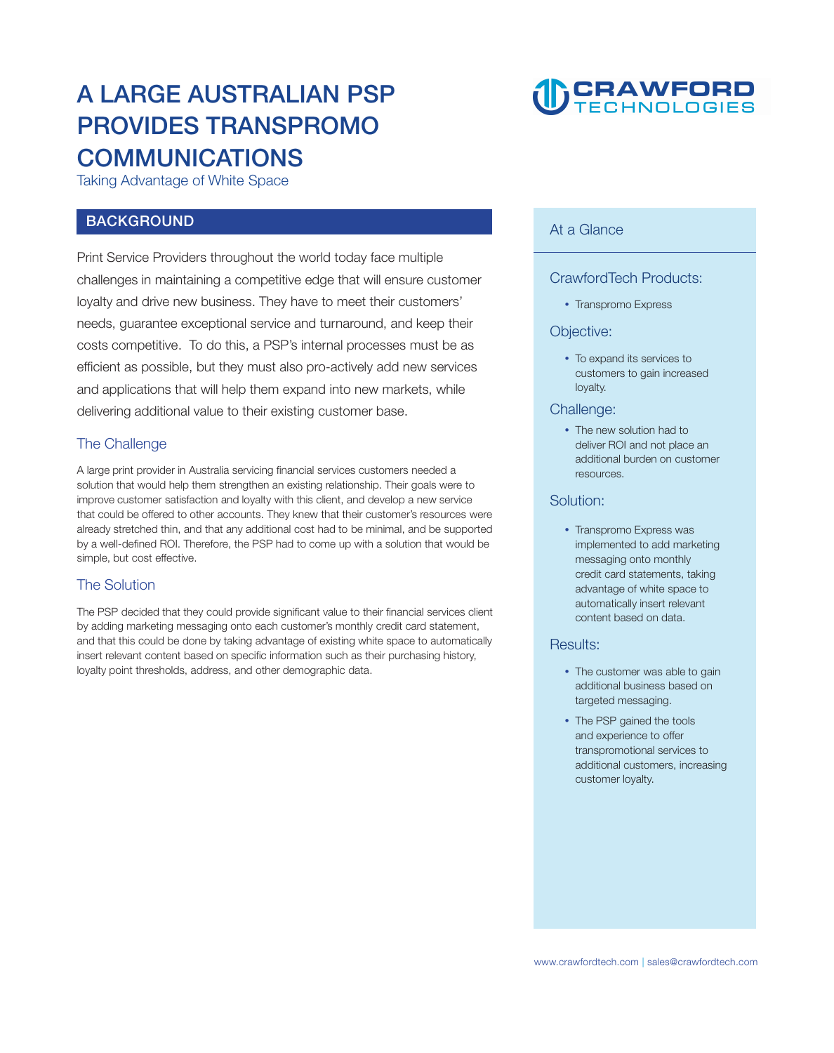# **A LARGE AUSTRALIAN PSP PROVIDES TRANSPROMO COMMUNICATIONS**

**Taking Advantage of White Space** 

## **BACKGROUND**

**Print Service Providers throughout the world today face multiple challenges in maintaining a competitive edge that will ensure customer loyalty and drive new business. They have to meet their customers' needs, guarantee exceptional service and turnaround, and keep their costs competitive. To do this, a PSP's internal processes must be as efficient as possible, but they must also pro-actively add new services and applications that will help them expand into new markets, while delivering additional value to their existing customer base.** 

# **The Challenge**

**A large print provider in Australia servicing financial services customers needed a solution that would help them strengthen an existing relationship. Their goals were to improve customer satisfaction and loyalty with this client, and develop a new service that could be offered to other accounts. They knew that their customer's resources were already stretched thin, and that any additional cost had to be minimal, and be supported by a well-defined ROI. Therefore, the PSP had to come up with a solution that would be simple, but cost effective.** 

# **The Solution**

**The PSP decided that they could provide significant value to their financial services client by adding marketing messaging onto each customer's monthly credit card statement, and that this could be done by taking advantage of existing white space to automatically insert relevant content based on specific information such as their purchasing history, loyalty point thresholds, address, and other demographic data.** 



## **At a Glance**

## **CrawfordTech Products:**

**Transpromo Express**

#### **Objective:**

 **To expand its services to customers to gain increased loyalty.**

#### **Challenge:**

 **The new solution had to deliver ROI and not place an additional burden on customer resources.**

### **Solution:**

 **Transpromo Express was implemented to add marketing messaging onto monthly credit card statements, taking advantage of white space to automatically insert relevant content based on data.**

#### **Results:**

- **The customer was able to gain additional business based on targeted messaging.**
- **The PSP gained the tools and experience to offer transpromotional services to additional customers, increasing customer loyalty.**